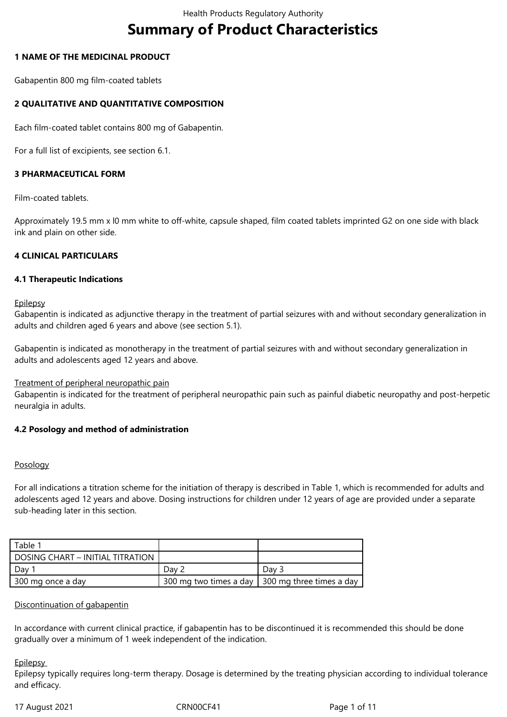# **Summary of Product Characteristics**

## **1 NAME OF THE MEDICINAL PRODUCT**

Gabapentin 800 mg film-coated tablets

# **2 QUALITATIVE AND QUANTITATIVE COMPOSITION**

Each film-coated tablet contains 800 mg of Gabapentin.

For a full list of excipients, see section 6.1.

## **3 PHARMACEUTICAL FORM**

Film-coated tablets.

Approximately 19.5 mm x l0 mm white to off-white, capsule shaped, film coated tablets imprinted G2 on one side with black ink and plain on other side.

### **4 CLINICAL PARTICULARS**

### **4.1 Therapeutic Indications**

**Epilepsy** 

Gabapentin is indicated as adjunctive therapy in the treatment of partial seizures with and without secondary generalization in adults and children aged 6 years and above (see section 5.1).

Gabapentin is indicated as monotherapy in the treatment of partial seizures with and without secondary generalization in adults and adolescents aged 12 years and above.

### Treatment of peripheral neuropathic pain

Gabapentin is indicated for the treatment of peripheral neuropathic pain such as painful diabetic neuropathy and post-herpetic neuralgia in adults.

### **4.2 Posology and method of administration**

### Posology

For all indications a titration scheme for the initiation of therapy is described in Table 1, which is recommended for adults and adolescents aged 12 years and above. Dosing instructions for children under 12 years of age are provided under a separate sub-heading later in this section.

| Table 1                          |                        |                          |
|----------------------------------|------------------------|--------------------------|
| DOSING CHART – INITIAL TITRATION |                        |                          |
| Day                              | Dav 2                  | Day 3                    |
| 300 mg once a day                | 300 mg two times a day | 300 mg three times a day |

### Discontinuation of gabapentin

In accordance with current clinical practice, if gabapentin has to be discontinued it is recommended this should be done gradually over a minimum of 1 week independent of the indication.

### **Epilepsy**

Epilepsy typically requires long-term therapy. Dosage is determined by the treating physician according to individual tolerance and efficacy.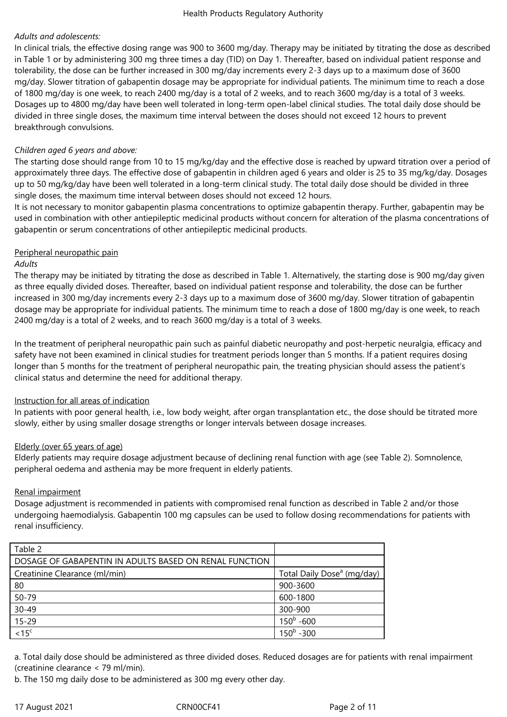# *Adults and adolescents:*

In clinical trials, the effective dosing range was 900 to 3600 mg/day. Therapy may be initiated by titrating the dose as described in Table 1 or by administering 300 mg three times a day (TID) on Day 1. Thereafter, based on individual patient response and tolerability, the dose can be further increased in 300 mg/day increments every 2-3 days up to a maximum dose of 3600 mg/day. Slower titration of gabapentin dosage may be appropriate for individual patients. The minimum time to reach a dose of 1800 mg/day is one week, to reach 2400 mg/day is a total of 2 weeks, and to reach 3600 mg/day is a total of 3 weeks. Dosages up to 4800 mg/day have been well tolerated in long-term open-label clinical studies. The total daily dose should be divided in three single doses, the maximum time interval between the doses should not exceed 12 hours to prevent breakthrough convulsions.

## *Children aged 6 years and above:*

The starting dose should range from 10 to 15 mg/kg/day and the effective dose is reached by upward titration over a period of approximately three days. The effective dose of gabapentin in children aged 6 years and older is 25 to 35 mg/kg/day. Dosages up to 50 mg/kg/day have been well tolerated in a long-term clinical study. The total daily dose should be divided in three single doses, the maximum time interval between doses should not exceed 12 hours.

It is not necessary to monitor gabapentin plasma concentrations to optimize gabapentin therapy. Further, gabapentin may be used in combination with other antiepileptic medicinal products without concern for alteration of the plasma concentrations of gabapentin or serum concentrations of other antiepileptic medicinal products.

## Peripheral neuropathic pain

### *Adults*

The therapy may be initiated by titrating the dose as described in Table 1. Alternatively, the starting dose is 900 mg/day given as three equally divided doses. Thereafter, based on individual patient response and tolerability, the dose can be further increased in 300 mg/day increments every 2-3 days up to a maximum dose of 3600 mg/day. Slower titration of gabapentin dosage may be appropriate for individual patients. The minimum time to reach a dose of 1800 mg/day is one week, to reach 2400 mg/day is a total of 2 weeks, and to reach 3600 mg/day is a total of 3 weeks.

In the treatment of peripheral neuropathic pain such as painful diabetic neuropathy and post-herpetic neuralgia, efficacy and safety have not been examined in clinical studies for treatment periods longer than 5 months. If a patient requires dosing longer than 5 months for the treatment of peripheral neuropathic pain, the treating physician should assess the patient's clinical status and determine the need for additional therapy.

# Instruction for all areas of indication

In patients with poor general health, i.e., low body weight, after organ transplantation etc., the dose should be titrated more slowly, either by using smaller dosage strengths or longer intervals between dosage increases.

### Elderly (over 65 years of age)

Elderly patients may require dosage adjustment because of declining renal function with age (see Table 2). Somnolence, peripheral oedema and asthenia may be more frequent in elderly patients.

# Renal impairment

Dosage adjustment is recommended in patients with compromised renal function as described in Table 2 and/or those undergoing haemodialysis. Gabapentin 100 mg capsules can be used to follow dosing recommendations for patients with renal insufficiency.

| Table 2                                                |                                        |
|--------------------------------------------------------|----------------------------------------|
| DOSAGE OF GABAPENTIN IN ADULTS BASED ON RENAL FUNCTION |                                        |
| Creatinine Clearance (ml/min)                          | Total Daily Dose <sup>a</sup> (mg/day) |
| 80                                                     | 900-3600                               |
| 50-79                                                  | 600-1800                               |
| $30 - 49$                                              | 300-900                                |
| $15 - 29$                                              | $150^{\mathrm{b}}$ -600                |
| $\overline{<15^{\circ}}$                               | $150^{\rm b}$ -300                     |

a. Total daily dose should be administered as three divided doses. Reduced dosages are for patients with renal impairment (creatinine clearance < 79 ml/min).

b. The 150 mg daily dose to be administered as 300 mg every other day.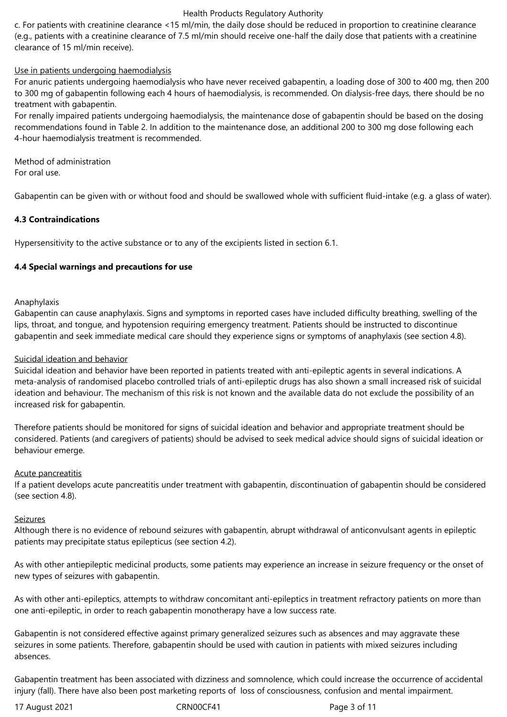c. For patients with creatinine clearance <15 ml/min, the daily dose should be reduced in proportion to creatinine clearance (e.g., patients with a creatinine clearance of 7.5 ml/min should receive one-half the daily dose that patients with a creatinine clearance of 15 ml/min receive).

# Use in patients undergoing haemodialysis

For anuric patients undergoing haemodialysis who have never received gabapentin, a loading dose of 300 to 400 mg, then 200 to 300 mg of gabapentin following each 4 hours of haemodialysis, is recommended. On dialysis-free days, there should be no treatment with gabapentin.

For renally impaired patients undergoing haemodialysis, the maintenance dose of gabapentin should be based on the dosing recommendations found in Table 2. In addition to the maintenance dose, an additional 200 to 300 mg dose following each 4-hour haemodialysis treatment is recommended.

Method of administration For oral use.

Gabapentin can be given with or without food and should be swallowed whole with sufficient fluid-intake (e.g. a glass of water).

## **4.3 Contraindications**

Hypersensitivity to the active substance or to any of the excipients listed in section 6.1.

## **4.4 Special warnings and precautions for use**

### Anaphylaxis

Gabapentin can cause anaphylaxis. Signs and symptoms in reported cases have included difficulty breathing, swelling of the lips, throat, and tongue, and hypotension requiring emergency treatment. Patients should be instructed to discontinue gabapentin and seek immediate medical care should they experience signs or symptoms of anaphylaxis (see section 4.8).

### Suicidal ideation and behavior

Suicidal ideation and behavior have been reported in patients treated with anti-epileptic agents in several indications. A meta-analysis of randomised placebo controlled trials of anti-epileptic drugs has also shown a small increased risk of suicidal ideation and behaviour. The mechanism of this risk is not known and the available data do not exclude the possibility of an increased risk for gabapentin.

Therefore patients should be monitored for signs of suicidal ideation and behavior and appropriate treatment should be considered. Patients (and caregivers of patients) should be advised to seek medical advice should signs of suicidal ideation or behaviour emerge.

### Acute pancreatitis

If a patient develops acute pancreatitis under treatment with gabapentin, discontinuation of gabapentin should be considered (see section 4.8).

### Seizures

Although there is no evidence of rebound seizures with gabapentin, abrupt withdrawal of anticonvulsant agents in epileptic patients may precipitate status epilepticus (see section 4.2).

As with other antiepileptic medicinal products, some patients may experience an increase in seizure frequency or the onset of new types of seizures with gabapentin.

As with other anti-epileptics, attempts to withdraw concomitant anti-epileptics in treatment refractory patients on more than one anti-epileptic, in order to reach gabapentin monotherapy have a low success rate.

Gabapentin is not considered effective against primary generalized seizures such as absences and may aggravate these seizures in some patients. Therefore, gabapentin should be used with caution in patients with mixed seizures including absences.

Gabapentin treatment has been associated with dizziness and somnolence, which could increase the occurrence of accidental injury (fall). There have also been post marketing reports of loss of consciousness, confusion and mental impairment.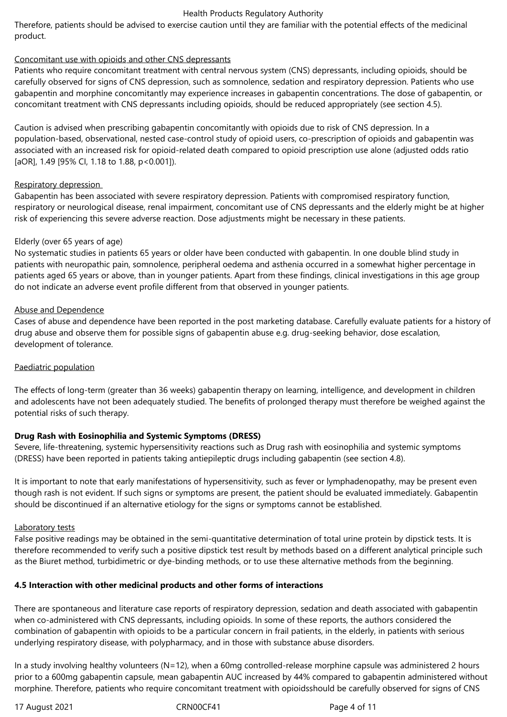Therefore, patients should be advised to exercise caution until they are familiar with the potential effects of the medicinal product.

## Concomitant use with opioids and other CNS depressants

Patients who require concomitant treatment with central nervous system (CNS) depressants, including opioids, should be carefully observed for signs of CNS depression, such as somnolence, sedation and respiratory depression. Patients who use gabapentin and morphine concomitantly may experience increases in gabapentin concentrations. The dose of gabapentin, or concomitant treatment with CNS depressants including opioids, should be reduced appropriately (see section 4.5).

Caution is advised when prescribing gabapentin concomitantly with opioids due to risk of CNS depression. In a population-based, observational, nested case-control study of opioid users, co‑prescription of opioids and gabapentin was associated with an increased risk for opioid-related death compared to opioid prescription use alone (adjusted odds ratio [aOR], 1.49 [95% CI, 1.18 to 1.88, p<0.001]).

## Respiratory depression

Gabapentin has been associated with severe respiratory depression. Patients with compromised respiratory function, respiratory or neurological disease, renal impairment, concomitant use of CNS depressants and the elderly might be at higher risk of experiencing this severe adverse reaction. Dose adjustments might be necessary in these patients.

## Elderly (over 65 years of age)

No systematic studies in patients 65 years or older have been conducted with gabapentin. In one double blind study in patients with neuropathic pain, somnolence, peripheral oedema and asthenia occurred in a somewhat higher percentage in patients aged 65 years or above, than in younger patients. Apart from these findings, clinical investigations in this age group do not indicate an adverse event profile different from that observed in younger patients.

## Abuse and Dependence

Cases of abuse and dependence have been reported in the post marketing database. Carefully evaluate patients for a history of drug abuse and observe them for possible signs of gabapentin abuse e.g. drug-seeking behavior, dose escalation, development of tolerance.

# Paediatric population

The effects of long-term (greater than 36 weeks) gabapentin therapy on learning, intelligence, and development in children and adolescents have not been adequately studied. The benefits of prolonged therapy must therefore be weighed against the potential risks of such therapy.

# **Drug Rash with Eosinophilia and Systemic Symptoms (DRESS)**

Severe, life-threatening, systemic hypersensitivity reactions such as Drug rash with eosinophilia and systemic symptoms (DRESS) have been reported in patients taking antiepileptic drugs including gabapentin (see section 4.8).

It is important to note that early manifestations of hypersensitivity, such as fever or lymphadenopathy, may be present even though rash is not evident. If such signs or symptoms are present, the patient should be evaluated immediately. Gabapentin should be discontinued if an alternative etiology for the signs or symptoms cannot be established.

### Laboratory tests

False positive readings may be obtained in the semi-quantitative determination of total urine protein by dipstick tests. It is therefore recommended to verify such a positive dipstick test result by methods based on a different analytical principle such as the Biuret method, turbidimetric or dye-binding methods, or to use these alternative methods from the beginning.

# **4.5 Interaction with other medicinal products and other forms of interactions**

There are spontaneous and literature case reports of respiratory depression, sedation and death associated with gabapentin when co-administered with CNS depressants, including opioids. In some of these reports, the authors considered the combination of gabapentin with opioids to be a particular concern in frail patients, in the elderly, in patients with serious underlying respiratory disease, with polypharmacy, and in those with substance abuse disorders.

In a study involving healthy volunteers (N=12), when a 60mg controlled-release morphine capsule was administered 2 hours prior to a 600mg gabapentin capsule, mean gabapentin AUC increased by 44% compared to gabapentin administered without morphine. Therefore, patients who require concomitant treatment with opioidsshould be carefully observed for signs of CNS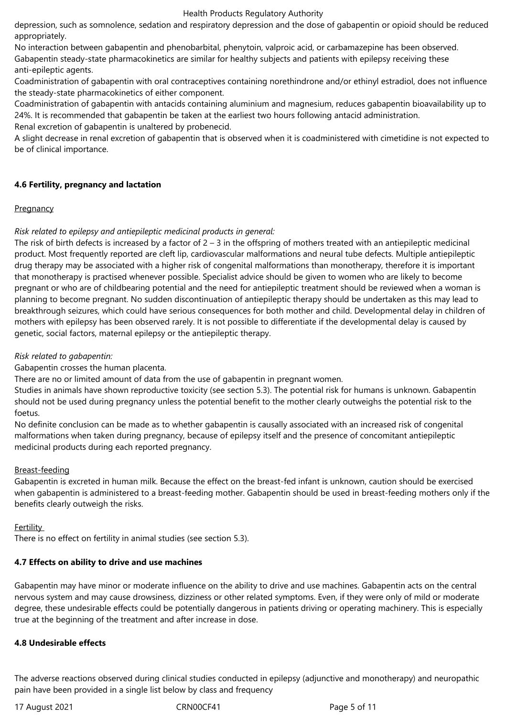depression, such as somnolence, sedation and respiratory depression and the dose of gabapentin or opioid should be reduced appropriately.

No interaction between gabapentin and phenobarbital, phenytoin, valproic acid, or carbamazepine has been observed. Gabapentin steady-state pharmacokinetics are similar for healthy subjects and patients with epilepsy receiving these

anti-epileptic agents.

Coadministration of gabapentin with oral contraceptives containing norethindrone and/or ethinyl estradiol, does not influence the steady-state pharmacokinetics of either component.

Coadministration of gabapentin with antacids containing aluminium and magnesium, reduces gabapentin bioavailability up to 24%. It is recommended that gabapentin be taken at the earliest two hours following antacid administration.

Renal excretion of gabapentin is unaltered by probenecid.

A slight decrease in renal excretion of gabapentin that is observed when it is coadministered with cimetidine is not expected to be of clinical importance.

## **4.6 Fertility, pregnancy and lactation**

## **Pregnancy**

# *Risk related to epilepsy and antiepileptic medicinal products in general:*

The risk of birth defects is increased by a factor of  $2 - 3$  in the offspring of mothers treated with an antiepileptic medicinal product. Most frequently reported are cleft lip, cardiovascular malformations and neural tube defects. Multiple antiepileptic drug therapy may be associated with a higher risk of congenital malformations than monotherapy, therefore it is important that monotherapy is practised whenever possible. Specialist advice should be given to women who are likely to become pregnant or who are of childbearing potential and the need for antiepileptic treatment should be reviewed when a woman is planning to become pregnant. No sudden discontinuation of antiepileptic therapy should be undertaken as this may lead to breakthrough seizures, which could have serious consequences for both mother and child. Developmental delay in children of mothers with epilepsy has been observed rarely. It is not possible to differentiate if the developmental delay is caused by genetic, social factors, maternal epilepsy or the antiepileptic therapy.

## *Risk related to gabapentin:*

Gabapentin crosses the human placenta.

There are no or limited amount of data from the use of gabapentin in pregnant women.

Studies in animals have shown reproductive toxicity (see section 5.3). The potential risk for humans is unknown. Gabapentin should not be used during pregnancy unless the potential benefit to the mother clearly outweighs the potential risk to the foetus.

No definite conclusion can be made as to whether gabapentin is causally associated with an increased risk of congenital malformations when taken during pregnancy, because of epilepsy itself and the presence of concomitant antiepileptic medicinal products during each reported pregnancy.

# Breast-feeding

Gabapentin is excreted in human milk. Because the effect on the breast-fed infant is unknown, caution should be exercised when gabapentin is administered to a breast-feeding mother. Gabapentin should be used in breast-feeding mothers only if the benefits clearly outweigh the risks.

### Fertility

There is no effect on fertility in animal studies (see section 5.3).

# **4.7 Effects on ability to drive and use machines**

Gabapentin may have minor or moderate influence on the ability to drive and use machines. Gabapentin acts on the central nervous system and may cause drowsiness, dizziness or other related symptoms. Even, if they were only of mild or moderate degree, these undesirable effects could be potentially dangerous in patients driving or operating machinery. This is especially true at the beginning of the treatment and after increase in dose.

### **4.8 Undesirable effects**

The adverse reactions observed during clinical studies conducted in epilepsy (adjunctive and monotherapy) and neuropathic pain have been provided in a single list below by class and frequency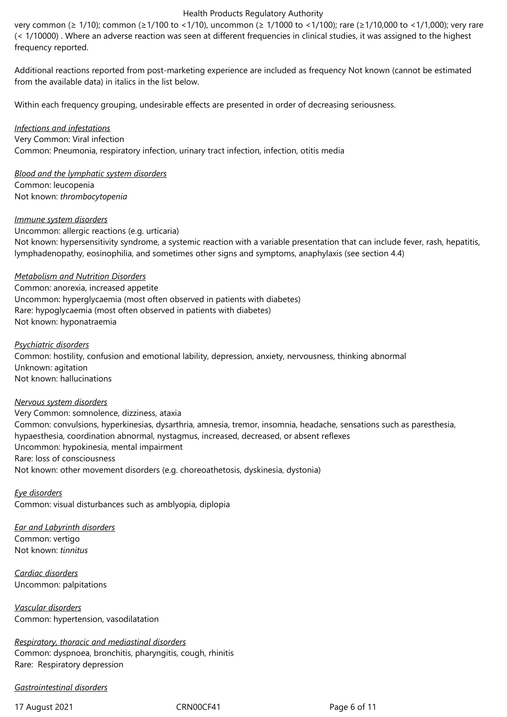very common (≥ 1/10); common (≥1/100 to <1/10), uncommon (≥ 1/1000 to <1/100); rare (≥1/10,000 to <1/1,000); very rare (< 1/10000) . Where an adverse reaction was seen at different frequencies in clinical studies, it was assigned to the highest frequency reported.

Additional reactions reported from post-marketing experience are included as frequency Not known (cannot be estimated from the available data) in italics in the list below.

Within each frequency grouping, undesirable effects are presented in order of decreasing seriousness.

*Infections and infestations* Very Common: Viral infection Common: Pneumonia, respiratory infection, urinary tract infection, infection, otitis media

*Blood and the lymphatic system disorders* Common: leucopenia Not known: *thrombocytopenia* 

*Immune system disorders*

Uncommon: allergic reactions (e.g. urticaria) Not known: hypersensitivity syndrome, a systemic reaction with a variable presentation that can include fever, rash, hepatitis, lymphadenopathy, eosinophilia, and sometimes other signs and symptoms, anaphylaxis (see section 4.4)

#### *Metabolism and Nutrition Disorders*

Common: anorexia, increased appetite Uncommon: hyperglycaemia (most often observed in patients with diabetes) Rare: hypoglycaemia (most often observed in patients with diabetes) Not known: hyponatraemia

*Psychiatric disorders* Common: hostility, confusion and emotional lability, depression, anxiety, nervousness, thinking abnormal Unknown: agitation Not known: hallucinations

#### *Nervous system disorders*

Very Common: somnolence, dizziness, ataxia Common: convulsions, hyperkinesias, dysarthria, amnesia, tremor, insomnia, headache, sensations such as paresthesia, hypaesthesia, coordination abnormal, nystagmus, increased, decreased, or absent reflexes Uncommon: hypokinesia, mental impairment Rare: loss of consciousness Not known: other movement disorders (e.g. choreoathetosis, dyskinesia, dystonia)

*Eye disorders* Common: visual disturbances such as amblyopia, diplopia

*Ear and Labyrinth disorders* Common: vertigo Not known: *tinnitus* 

*Cardiac disorders* Uncommon: palpitations

*Vascular disorders* Common: hypertension, vasodilatation

*Respiratory, thoracic and mediastinal disorders* Common: dyspnoea, bronchitis, pharyngitis, cough, rhinitis Rare: Respiratory depression

#### *Gastrointestinal disorders*

17 August 2021 **CRN00CF41** CRN00CF41 **Page 6 of 11**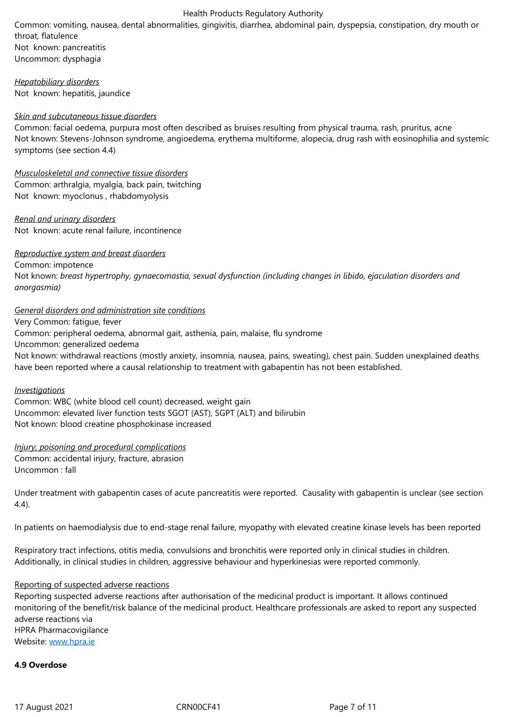Not known: pancreatitis Uncommon: dysphagia

*Hepatobiliary disorders* Not known: hepatitis, jaundice

#### *Skin and subcutaneous tissue disorders*

Common: facial oedema, purpura most often described as bruises resulting from physical trauma, rash, pruritus, acne Not known: Stevens-Johnson syndrome, angioedema, erythema multiforme, alopecia, drug rash with eosinophilia and systemic symptoms (see section 4.4)

*Musculoskeletal and connective tissue disorders* Common: arthralgia, myalgia, back pain, twitching Not known: myoclonus , rhabdomyolysis

*Renal and urinary disorders* Not known: acute renal failure, incontinence

#### *Reproductive system and breast disorders*

Common: impotence Not known: *breast hypertrophy, gynaecomastia, sexual dysfunction (including changes in libido, ejaculation disorders and anorgasmia)*

#### *General disorders and administration site conditions*

Very Common: fatigue, fever Common: peripheral oedema, abnormal gait, asthenia, pain, malaise, flu syndrome Uncommon: generalized oedema Not known: withdrawal reactions (mostly anxiety, insomnia, nausea, pains, sweating), chest pain. Sudden unexplained deaths have been reported where a causal relationship to treatment with gabapentin has not been established*.*

#### *Investigations*

Common: WBC (white blood cell count) decreased, weight gain Uncommon: elevated liver function tests SGOT (AST), SGPT (ALT) and bilirubin Not known: blood creatine phosphokinase increased

*Injury, poisoning and procedural complications* Common: accidental injury, fracture, abrasion Uncommon : fall

Under treatment with gabapentin cases of acute pancreatitis were reported. Causality with gabapentin is unclear (see section 4.4).

In patients on haemodialysis due to end-stage renal failure, myopathy with elevated creatine kinase levels has been reported

Respiratory tract infections, otitis media, convulsions and bronchitis were reported only in clinical studies in children. Additionally, in clinical studies in children, aggressive behaviour and hyperkinesias were reported commonly.

### Reporting of suspected adverse reactions

Reporting suspected adverse reactions after authorisation of the medicinal product is important. It allows continued monitoring of the benefit/risk balance of the medicinal product. Healthcare professionals are asked to report any suspected adverse reactions via HPRA Pharmacovigilance Website: www.hpra.ie

#### **4.9 Overdose**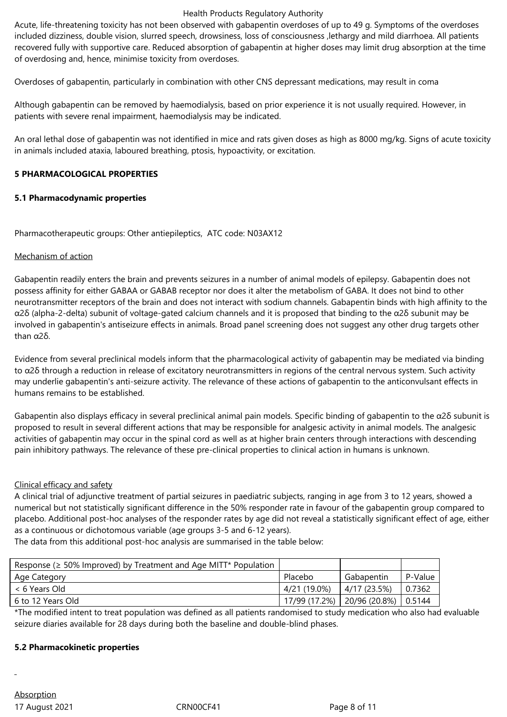Acute, life-threatening toxicity has not been observed with gabapentin overdoses of up to 49 g. Symptoms of the overdoses included dizziness, double vision, slurred speech, drowsiness, loss of consciousness ,lethargy and mild diarrhoea. All patients recovered fully with supportive care. Reduced absorption of gabapentin at higher doses may limit drug absorption at the time of overdosing and, hence, minimise toxicity from overdoses.

Overdoses of gabapentin, particularly in combination with other CNS depressant medications, may result in coma

Although gabapentin can be removed by haemodialysis, based on prior experience it is not usually required. However, in patients with severe renal impairment, haemodialysis may be indicated.

An oral lethal dose of gabapentin was not identified in mice and rats given doses as high as 8000 mg/kg. Signs of acute toxicity in animals included ataxia, laboured breathing, ptosis, hypoactivity, or excitation.

## **5 PHARMACOLOGICAL PROPERTIES**

## **5.1 Pharmacodynamic properties**

Pharmacotherapeutic groups: Other antiepileptics, ATC code: N03AX12

## Mechanism of action

Gabapentin readily enters the brain and prevents seizures in a number of animal models of epilepsy. Gabapentin does not possess affinity for either GABAA or GABAB receptor nor does it alter the metabolism of GABA. It does not bind to other neurotransmitter receptors of the brain and does not interact with sodium channels. Gabapentin binds with high affinity to the α2δ (alpha-2-delta) subunit of voltage-gated calcium channels and it is proposed that binding to the α2δ subunit may be involved in gabapentin's antiseizure effects in animals. Broad panel screening does not suggest any other drug targets other than α2δ.

Evidence from several preclinical models inform that the pharmacological activity of gabapentin may be mediated via binding to α2δ through a reduction in release of excitatory neurotransmitters in regions of the central nervous system. Such activity may underlie gabapentin's anti-seizure activity. The relevance of these actions of gabapentin to the anticonvulsant effects in humans remains to be established.

Gabapentin also displays efficacy in several preclinical animal pain models. Specific binding of gabapentin to the α2δ subunit is proposed to result in several different actions that may be responsible for analgesic activity in animal models. The analgesic activities of gabapentin may occur in the spinal cord as well as at higher brain centers through interactions with descending pain inhibitory pathways. The relevance of these pre-clinical properties to clinical action in humans is unknown.

### Clinical efficacy and safety

A clinical trial of adjunctive treatment of partial seizures in paediatric subjects, ranging in age from 3 to 12 years, showed a numerical but not statistically significant difference in the 50% responder rate in favour of the gabapentin group compared to placebo. Additional post-hoc analyses of the responder rates by age did not reveal a statistically significant effect of age, either as a continuous or dichotomous variable (age groups 3-5 and 6-12 years).

The data from this additional post-hoc analysis are summarised in the table below:

| Response ( $\geq$ 50% Improved) by Treatment and Age MITT* Population |               |                       |         |
|-----------------------------------------------------------------------|---------------|-----------------------|---------|
| Age Category                                                          | Placebo       | Gabapentin            | P-Value |
| < 6 Years Old                                                         | 4/21 (19.0%)  | 4/17 (23.5%)          | 0.7362  |
| 6 to 12 Years Old                                                     | 17/99 (17.2%) | $20/96(20.8%)$ 0.5144 |         |

\*The modified intent to treat population was defined as all patients randomised to study medication who also had evaluable seizure diaries available for 28 days during both the baseline and double-blind phases.

### **5.2 Pharmacokinetic properties**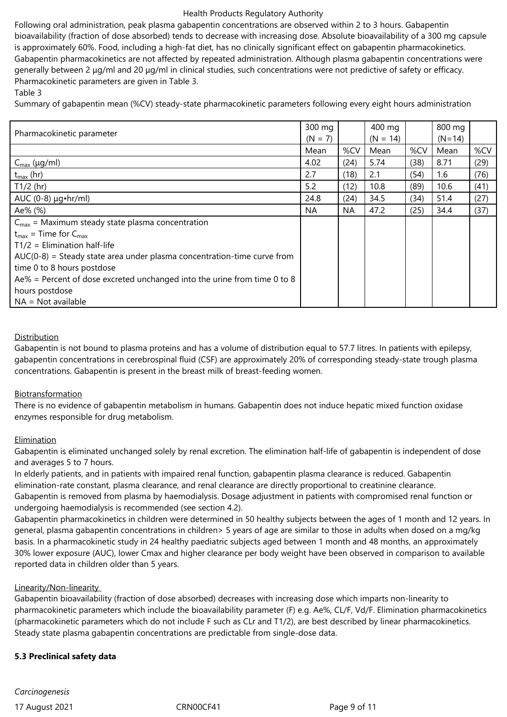Following oral administration, peak plasma gabapentin concentrations are observed within 2 to 3 hours. Gabapentin bioavailability (fraction of dose absorbed) tends to decrease with increasing dose. Absolute bioavailability of a 300 mg capsule is approximately 60%. Food, including a high-fat diet, has no clinically significant effect on gabapentin pharmacokinetics. Gabapentin pharmacokinetics are not affected by repeated administration. Although plasma gabapentin concentrations were generally between 2 μg/ml and 20 μg/ml in clinical studies, such concentrations were not predictive of safety or efficacy. Pharmacokinetic parameters are given in Table 3.

Table 3

Summary of gabapentin mean (%CV) steady-state pharmacokinetic parameters following every eight hours administration

| Pharmacokinetic parameter                                                 | 300 mg<br>$(N = 7)$ |           | 400 mg<br>$(N = 14)$ |      | 800 mg<br>$(N=14)$ |      |
|---------------------------------------------------------------------------|---------------------|-----------|----------------------|------|--------------------|------|
|                                                                           | Mean                | %CV       | Mean                 | %CV  | Mean               | %CV  |
| $C_{\text{max}}$ (µg/ml)                                                  | 4.02                | (24)      | 5.74                 | (38) | 8.71               | (29) |
| $t_{\text{max}}$ (hr)                                                     | 2.7                 | (18)      | 2.1                  | (54) | 1.6                | (76) |
| $T1/2$ (hr)                                                               | 5.2                 | (12)      | 10.8                 | (89) | 10.6               | (41) |
| AUC $(0-8) \mu g \cdot hr/ml$                                             | 24.8                | (24)      | 34.5                 | (34) | 51.4               | (27) |
| Ae% (%)                                                                   | <b>NA</b>           | <b>NA</b> | 47.2                 | (25) | 34.4               | (37) |
| $C_{\text{max}}$ = Maximum steady state plasma concentration              |                     |           |                      |      |                    |      |
| $t_{max}$ = Time for $C_{max}$                                            |                     |           |                      |      |                    |      |
| $T1/2$ = Elimination half-life                                            |                     |           |                      |      |                    |      |
| $AUC(0-8)$ = Steady state area under plasma concentration-time curve from |                     |           |                      |      |                    |      |
| time 0 to 8 hours postdose                                                |                     |           |                      |      |                    |      |
| Ae% = Percent of dose excreted unchanged into the urine from time 0 to 8  |                     |           |                      |      |                    |      |
| hours postdose                                                            |                     |           |                      |      |                    |      |
| $NA = Not available$                                                      |                     |           |                      |      |                    |      |

## Distribution

Gabapentin is not bound to plasma proteins and has a volume of distribution equal to 57.7 litres. In patients with epilepsy, gabapentin concentrations in cerebrospinal fluid (CSF) are approximately 20% of corresponding steady-state trough plasma concentrations. Gabapentin is present in the breast milk of breast-feeding women.

# Biotransformation

There is no evidence of gabapentin metabolism in humans. Gabapentin does not induce hepatic mixed function oxidase enzymes responsible for drug metabolism.

# **Elimination**

Gabapentin is eliminated unchanged solely by renal excretion. The elimination half-life of gabapentin is independent of dose and averages 5 to 7 hours.

In elderly patients, and in patients with impaired renal function, gabapentin plasma clearance is reduced. Gabapentin elimination-rate constant, plasma clearance, and renal clearance are directly proportional to creatinine clearance.

Gabapentin is removed from plasma by haemodialysis. Dosage adjustment in patients with compromised renal function or undergoing haemodialysis is recommended (see section 4.2).

Gabapentin pharmacokinetics in children were determined in 50 healthy subjects between the ages of 1 month and 12 years. In general, plasma gabapentin concentrations in children> 5 years of age are similar to those in adults when dosed on a mg/kg basis. In a pharmacokinetic study in 24 healthy paediatric subjects aged between 1 month and 48 months, an approximately 30% lower exposure (AUC), lower Cmax and higher clearance per body weight have been observed in comparison to available reported data in children older than 5 years.

# Linearity/Non-linearity

Gabapentin bioavailability (fraction of dose absorbed) decreases with increasing dose which imparts non-linearity to pharmacokinetic parameters which include the bioavailability parameter (F) e.g. Ae%, CL/F, Vd/F. Elimination pharmacokinetics (pharmacokinetic parameters which do not include F such as CLr and T1/2), are best described by linear pharmacokinetics. Steady state plasma gabapentin concentrations are predictable from single-dose data.

# **5.3 Preclinical safety data**

*Carcinogenesis*

17 August 2021 **CRNOOCF41** CRNOOCF41 **Page 9 of 11**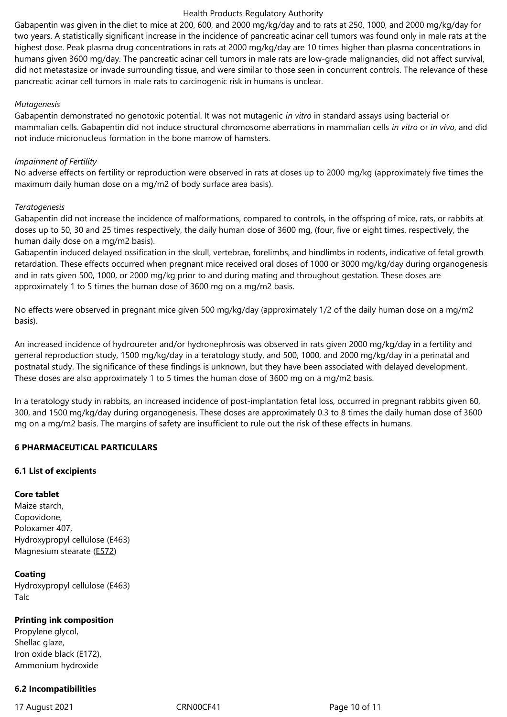highest dose. Peak plasma drug concentrations in rats at 2000 mg/kg/day are 10 times higher than plasma concentrations in humans given 3600 mg/day. The pancreatic acinar cell tumors in male rats are low-grade malignancies, did not affect survival, did not metastasize or invade surrounding tissue, and were similar to those seen in concurrent controls. The relevance of these pancreatic acinar cell tumors in male rats to carcinogenic risk in humans is unclear.

## *Mutagenesis*

Gabapentin demonstrated no genotoxic potential. It was not mutagenic *in vitro* in standard assays using bacterial or mammalian cells. Gabapentin did not induce structural chromosome aberrations in mammalian cells *in vitro* or *in vivo*, and did not induce micronucleus formation in the bone marrow of hamsters.

## *Impairment of Fertility*

No adverse effects on fertility or reproduction were observed in rats at doses up to 2000 mg/kg (approximately five times the maximum daily human dose on a mg/m2 of body surface area basis).

## *Teratogenesis*

Gabapentin did not increase the incidence of malformations, compared to controls, in the offspring of mice, rats, or rabbits at doses up to 50, 30 and 25 times respectively, the daily human dose of 3600 mg, (four, five or eight times, respectively, the human daily dose on a mg/m2 basis).

Gabapentin induced delayed ossification in the skull, vertebrae, forelimbs, and hindlimbs in rodents, indicative of fetal growth retardation. These effects occurred when pregnant mice received oral doses of 1000 or 3000 mg/kg/day during organogenesis and in rats given 500, 1000, or 2000 mg/kg prior to and during mating and throughout gestation. These doses are approximately 1 to 5 times the human dose of 3600 mg on a mg/m2 basis.

No effects were observed in pregnant mice given 500 mg/kg/day (approximately 1/2 of the daily human dose on a mg/m2 basis).

An increased incidence of hydroureter and/or hydronephrosis was observed in rats given 2000 mg/kg/day in a fertility and general reproduction study, 1500 mg/kg/day in a teratology study, and 500, 1000, and 2000 mg/kg/day in a perinatal and postnatal study. The significance of these findings is unknown, but they have been associated with delayed development. These doses are also approximately 1 to 5 times the human dose of 3600 mg on a mg/m2 basis.

In a teratology study in rabbits, an increased incidence of post-implantation fetal loss, occurred in pregnant rabbits given 60, 300, and 1500 mg/kg/day during organogenesis. These doses are approximately 0.3 to 8 times the daily human dose of 3600 mg on a mg/m2 basis. The margins of safety are insufficient to rule out the risk of these effects in humans.

# **6 PHARMACEUTICAL PARTICULARS**

# **6.1 List of excipients**

# **Core tablet**

Maize starch, Copovidone, Poloxamer 407, Hydroxypropyl cellulose (E463) Magnesium stearate (E572)

# **Coating**

Hydroxypropyl cellul[ose \(E4](http://en.wikipedia.org/wiki/E572)63) Talc

# **Printing ink composition**

Propylene glycol, Shellac glaze, Iron oxide black (E172), Ammonium hydroxide

# **6.2 Incompatibilities**

17 August 2021 CRN00CF41 Page 10 of 11